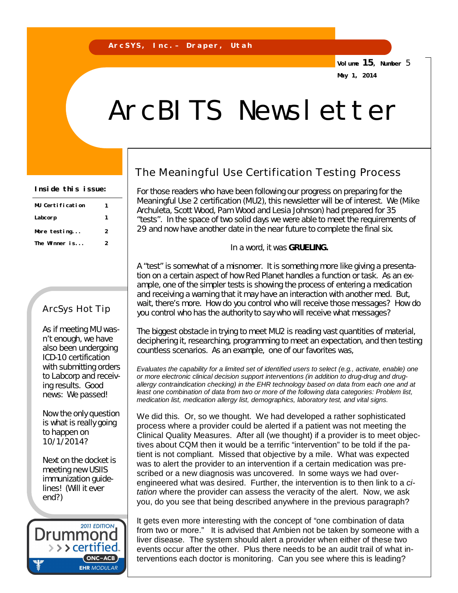**Volume 15, Number** 5 **May 1, 2014**

# ArcBITS Newsletter

| Inside this issue: |  |  |
|--------------------|--|--|
|--------------------|--|--|

| MU Certification | 1 |
|------------------|---|
| Labcorp          | 1 |
| More $testing$   | 2 |
| The Winner is    | 2 |
|                  |   |

#### ArcSys Hot Tip

As if meeting MU wasn't enough, we have also been undergoing ICD-10 certification with submitting orders to Labcorp and receiving results. Good news: We passed!

Now the only question is what is really going to happen on 10/1/2014?

Next on the docket is meeting new USIIS immunization guidelines! (Will it ever end?)

**2011 EDITION** Drummoi > > > certified. (ONC-ACB) **EHR MODULAR** 

### The Meaningful Use Certification Testing Process

For those readers who have been following our progress on preparing for the Meaningful Use 2 certification (MU2), this newsletter will be of interest. We (Mike Archuleta, Scott Wood, Pam Wood and Lesia Johnson) had prepared for 35 "tests". In the space of two solid days we were able to meet the requirements of 29 and now have another date in the near future to complete the final six.

In a word, it was *GRUELING.*

A "test" is somewhat of a misnomer. It is something more like giving a presentation on a certain aspect of how Red Planet handles a function or task. As an example, one of the simpler tests is showing the process of entering a medication and receiving a warning that it may have an interaction with another med. But, wait, there's more. How do you control who will receive those messages? How do you control who has the authority to say who will receive what messages?

The biggest obstacle in trying to meet MU2 is reading vast quantities of material, deciphering it, researching, programming to meet an expectation, and then testing countless scenarios. As an example, one of our favorites was,

*Evaluates the capability for a limited set of identified users to select (e.g., activate, enable) one or more electronic clinical decision support interventions (in addition to drug-drug and drugallergy contraindication checking) in the EHR technology based on data from each one and at least one combination of data from two or more of the following data categories: Problem list, medication list, medication allergy list, demographics, laboratory test, and vital signs.*

We did this. Or, so we thought. We had developed a rather sophisticated process where a provider could be alerted if a patient was not meeting the Clinical Quality Measures. After all (we thought) if a provider is to meet objectives about CQM then it would be a terrific "intervention" to be told if the patient is not compliant. Missed that objective by a mile. What was expected was to alert the provider to an intervention if a certain medication was prescribed or a new diagnosis was uncovered. In some ways we had overengineered what was desired. Further, the intervention is to then link to a *citation* where the provider can assess the veracity of the alert. Now, we ask you, do you see that being described anywhere in the previous paragraph?

It gets even more interesting with the concept of "one combination of data from two or more." It is advised that Ambien not be taken by someone with a liver disease. The system should alert a provider when either of these two events occur after the other. Plus there needs to be an audit trail of what interventions each doctor is monitoring. Can you see where this is leading?